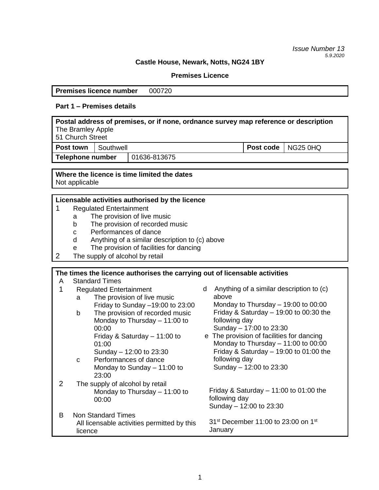#### **Castle House, Newark, Notts, NG24 1BY**

## **Premises Licence**

# **Part 1 – Premises details**

| Postal address of premises, or if none, ordnance survey map reference or description<br>The Bramley Apple<br>51 Church Street |           |              |                      |  |  |
|-------------------------------------------------------------------------------------------------------------------------------|-----------|--------------|----------------------|--|--|
| Post town                                                                                                                     | Southwell |              | Post code   NG25 0HQ |  |  |
| Telephone number                                                                                                              |           | 01636-813675 |                      |  |  |
|                                                                                                                               |           |              |                      |  |  |
| Whare the ligange is time limited the detac                                                                                   |           |              |                      |  |  |

#### **Where the licence is time limited the dates** Not applicable

# **Licensable activities authorised by the licence**

- 1 Regulated Entertainment
	- a The provision of live music
	- b The provision of recorded music
	- c Performances of dance
	- d Anything of a similar description to (c) above
	- e The provision of facilities for dancing
- 2 The supply of alcohol by retail

## **The times the licence authorises the carrying out of licensable activities**

| A | <b>Standard Times</b>                                 |                                                                                   |  |  |  |
|---|-------------------------------------------------------|-----------------------------------------------------------------------------------|--|--|--|
|   | <b>Regulated Entertainment</b>                        | Anything of a similar description to (c)<br>d                                     |  |  |  |
|   | The provision of live music<br>a                      | above                                                                             |  |  |  |
|   | Friday to Sunday -19:00 to 23:00                      | Monday to Thursday - 19:00 to 00:00                                               |  |  |  |
|   | The provision of recorded music<br>b                  | Friday & Saturday $-$ 19:00 to 00:30 the                                          |  |  |  |
|   | Monday to Thursday $-11:00$ to                        | following day                                                                     |  |  |  |
|   | 00:00                                                 | Sunday - 17:00 to 23:30                                                           |  |  |  |
|   | Friday & Saturday $-11:00$ to                         | e The provision of facilities for dancing<br>Monday to Thursday $-11:00$ to 00:00 |  |  |  |
|   | 01:00                                                 | Friday & Saturday $-$ 19:00 to 01:00 the                                          |  |  |  |
|   | Sunday - 12:00 to 23:30<br>Performances of dance<br>C | following day                                                                     |  |  |  |
|   | Monday to Sunday $-11:00$ to                          | Sunday - 12:00 to 23:30                                                           |  |  |  |
|   | 23:00                                                 |                                                                                   |  |  |  |
| 2 | The supply of alcohol by retail                       |                                                                                   |  |  |  |
|   | Monday to Thursday $-11:00$ to                        | Friday & Saturday $-11:00$ to 01:00 the                                           |  |  |  |
|   | 00:00                                                 | following day                                                                     |  |  |  |
|   |                                                       | Sunday - 12:00 to 23:30                                                           |  |  |  |
| B | <b>Non Standard Times</b>                             |                                                                                   |  |  |  |
|   | All licensable activities permitted by this           | 31 <sup>st</sup> December 11:00 to 23:00 on 1 <sup>st</sup>                       |  |  |  |
|   | January<br>licence                                    |                                                                                   |  |  |  |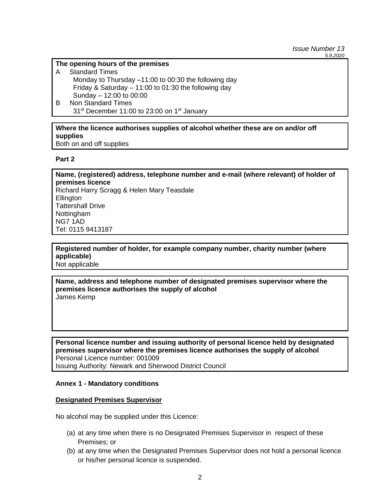#### **The opening hours of the premises**

- A Standard Times Monday to Thursday –11:00 to 00:30 the following day Friday & Saturday – 11:00 to 01:30 the following day Sunday – 12:00 to 00:00 B Non Standard Times
- 31<sup>st</sup> December 11:00 to 23:00 on 1<sup>st</sup> January

# **Where the licence authorises supplies of alcohol whether these are on and/or off supplies**

Both on and off supplies

#### **Part 2**

**Name, (registered) address, telephone number and e-mail (where relevant) of holder of premises licence** Richard Harry Scragg & Helen Mary Teasdale **Ellington** Tattershall Drive Nottingham NG7 1AD Tel: 0115 9413187

#### **Registered number of holder, for example company number, charity number (where applicable)** Not applicable

**Name, address and telephone number of designated premises supervisor where the premises licence authorises the supply of alcohol** James Kemp

**Personal licence number and issuing authority of personal licence held by designated premises supervisor where the premises licence authorises the supply of alcohol** Personal Licence number: 001009 Issuing Authority: Newark and Sherwood District Council

#### **Annex 1 - Mandatory conditions**

#### **Designated Premises Supervisor**

No alcohol may be supplied under this Licence:

- (a) at any time when there is no Designated Premises Supervisor in respect of these Premises; or
- (b) at any time when the Designated Premises Supervisor does not hold a personal licence or his/her personal licence is suspended.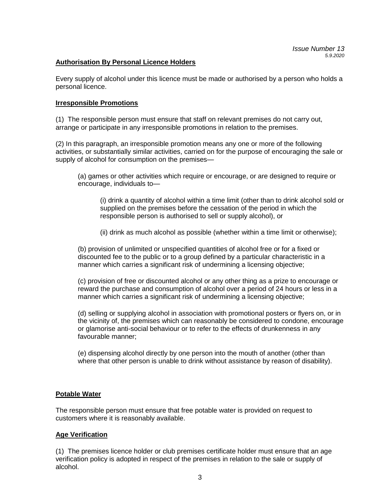#### **Authorisation By Personal Licence Holders**

Every supply of alcohol under this licence must be made or authorised by a person who holds a personal licence.

#### **Irresponsible Promotions**

(1) The responsible person must ensure that staff on relevant premises do not carry out, arrange or participate in any irresponsible promotions in relation to the premises.

(2) In this paragraph, an irresponsible promotion means any one or more of the following activities, or substantially similar activities, carried on for the purpose of encouraging the sale or supply of alcohol for consumption on the premises—

(a) games or other activities which require or encourage, or are designed to require or encourage, individuals to—

(i) drink a quantity of alcohol within a time limit (other than to drink alcohol sold or supplied on the premises before the cessation of the period in which the responsible person is authorised to sell or supply alcohol), or

(ii) drink as much alcohol as possible (whether within a time limit or otherwise);

(b) provision of unlimited or unspecified quantities of alcohol free or for a fixed or discounted fee to the public or to a group defined by a particular characteristic in a manner which carries a significant risk of undermining a licensing objective;

(c) provision of free or discounted alcohol or any other thing as a prize to encourage or reward the purchase and consumption of alcohol over a period of 24 hours or less in a manner which carries a significant risk of undermining a licensing objective;

(d) selling or supplying alcohol in association with promotional posters or flyers on, or in the vicinity of, the premises which can reasonably be considered to condone, encourage or glamorise anti-social behaviour or to refer to the effects of drunkenness in any favourable manner;

(e) dispensing alcohol directly by one person into the mouth of another (other than where that other person is unable to drink without assistance by reason of disability).

#### **Potable Water**

The responsible person must ensure that free potable water is provided on request to customers where it is reasonably available.

#### **Age Verification**

(1) The premises licence holder or club premises certificate holder must ensure that an age verification policy is adopted in respect of the premises in relation to the sale or supply of alcohol.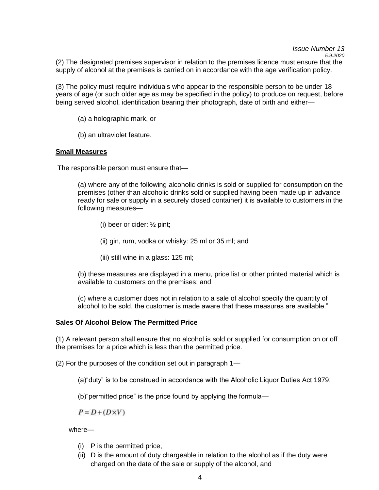*5.9.2020* (2) The designated premises supervisor in relation to the premises licence must ensure that the supply of alcohol at the premises is carried on in accordance with the age verification policy.

*Issue Number 13*

(3) The policy must require individuals who appear to the responsible person to be under 18 years of age (or such older age as may be specified in the policy) to produce on request, before being served alcohol, identification bearing their photograph, date of birth and either—

(a) a holographic mark, or

(b) an ultraviolet feature.

## **Small Measures**

The responsible person must ensure that—

(a) where any of the following alcoholic drinks is sold or supplied for consumption on the premises (other than alcoholic drinks sold or supplied having been made up in advance ready for sale or supply in a securely closed container) it is available to customers in the following measures—

- (i) beer or cider: ½ pint;
- (ii) gin, rum, vodka or whisky: 25 ml or 35 ml; and
- (iii) still wine in a glass: 125 ml;

(b) these measures are displayed in a menu, price list or other printed material which is available to customers on the premises; and

(c) where a customer does not in relation to a sale of alcohol specify the quantity of alcohol to be sold, the customer is made aware that these measures are available."

#### **Sales Of Alcohol Below The Permitted Price**

(1) A relevant person shall ensure that no alcohol is sold or supplied for consumption on or off the premises for a price which is less than the permitted price.

(2) For the purposes of the condition set out in paragraph 1—

(a)"duty" is to be construed in accordance with the Alcoholic Liquor Duties Act 1979;

(b)"permitted price" is the price found by applying the formula—

 $P = D + (D \times V)$ 

where—

- (i) P is the permitted price,
- (ii) D is the amount of duty chargeable in relation to the alcohol as if the duty were charged on the date of the sale or supply of the alcohol, and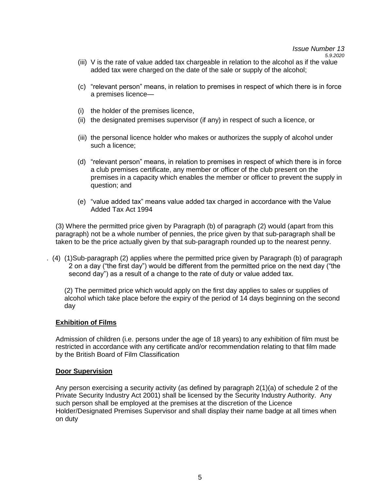- (iii) V is the rate of value added tax chargeable in relation to the alcohol as if the value added tax were charged on the date of the sale or supply of the alcohol;
- (c) "relevant person" means, in relation to premises in respect of which there is in force a premises licence—
- (i) the holder of the premises licence,
- (ii) the designated premises supervisor (if any) in respect of such a licence, or
- (iii) the personal licence holder who makes or authorizes the supply of alcohol under such a licence;
- (d) "relevant person" means, in relation to premises in respect of which there is in force a club premises certificate, any member or officer of the club present on the premises in a capacity which enables the member or officer to prevent the supply in question; and
- (e) "value added tax" means value added tax charged in accordance with the Value Added Tax Act 1994

(3) Where the permitted price given by Paragraph (b) of paragraph (2) would (apart from this paragraph) not be a whole number of pennies, the price given by that sub-paragraph shall be taken to be the price actually given by that sub-paragraph rounded up to the nearest penny.

. (4) (1)Sub-paragraph (2) applies where the permitted price given by Paragraph (b) of paragraph 2 on a day ("the first day") would be different from the permitted price on the next day ("the second day") as a result of a change to the rate of duty or value added tax.

(2) The permitted price which would apply on the first day applies to sales or supplies of alcohol which take place before the expiry of the period of 14 days beginning on the second day

#### **Exhibition of Films**

Admission of children (i.e. persons under the age of 18 years) to any exhibition of film must be restricted in accordance with any certificate and/or recommendation relating to that film made by the British Board of Film Classification

#### **Door Supervision**

Any person exercising a security activity (as defined by paragraph 2(1)(a) of schedule 2 of the Private Security Industry Act 2001) shall be licensed by the Security Industry Authority. Any such person shall be employed at the premises at the discretion of the Licence Holder/Designated Premises Supervisor and shall display their name badge at all times when on duty